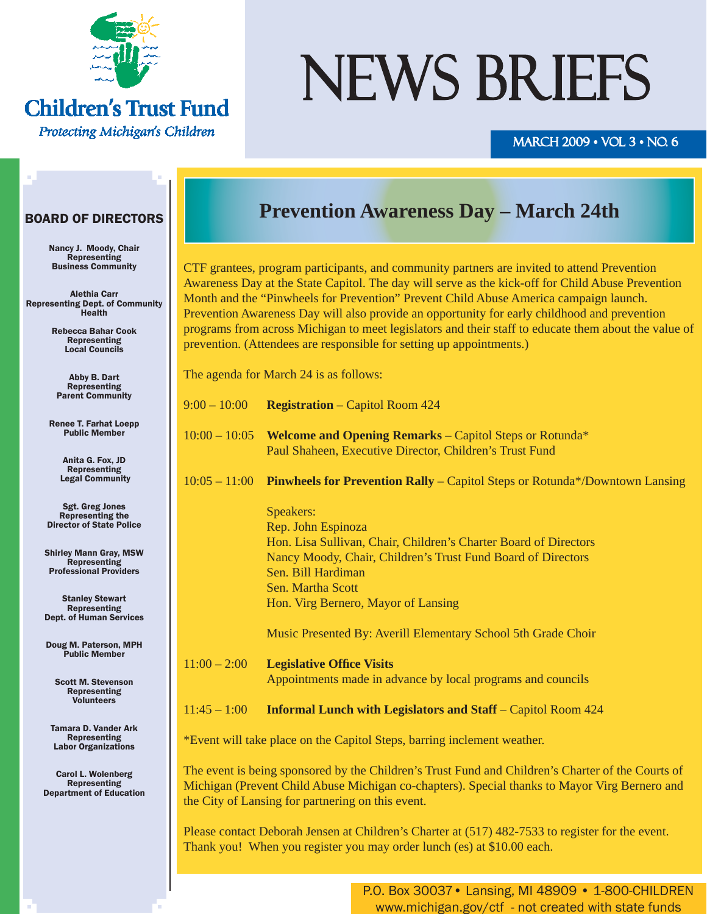

#### **Children's Trust Fund** Protecting Michigan's Children

# NEWS BRIEFS

#### MARCH 2009 • VOL 3 • NO. 6

#### BOARD OF DIRECTORS

Nancy J. Moody, Chair Representing Business Community

Alethia Carr Representing Dept. of Community Health

> Rebecca Bahar Cook Representing Local Councils

Abby B. Dart **Representing** Parent Community

Renee T. Farhat Loepp Public Member

> Anita G. Fox, JD Representing Legal Community

Sgt. Greg Jones Representing the Director of State Police

Shirley Mann Gray, MSW Representing Professional Providers

Stanley Stewart Representing Dept. of Human Services

Doug M. Paterson, MPH Public Member

Scott M. Stevenson Representing Volunteers

Tamara D. Vander Ark Representing Labor Organizations

Carol L. Wolenberg Representing Department of Education

### **Prevention Awareness Day – March 24th**

CTF grantees, program participants, and community partners are invited to attend Prevention Awareness Day at the State Capitol. The day will serve as the kick-off for Child Abuse Prevention Month and the "Pinwheels for Prevention" Prevent Child Abuse America campaign launch. Prevention Awareness Day will also provide an opportunity for early childhood and prevention programs from across Michigan to meet legislators and their staff to educate them about the value of prevention. (Attendees are responsible for setting up appointments.)

The agenda for March 24 is as follows:

| $9:00 - 10:00$ |  | <b>Registration</b> – Capitol Room 424 |
|----------------|--|----------------------------------------|
|----------------|--|----------------------------------------|

10:00 – 10:05 **Welcome and Opening Remarks** – Capitol Steps or Rotunda\* Paul Shaheen, Executive Director, Children's Trust Fund

10:05 – 11:00 **Pinwheels for Prevention Rally** – Capitol Steps or Rotunda\*/Downtown Lansing

 Speakers: Rep. John Espinoza Hon. Lisa Sullivan, Chair, Children's Charter Board of Directors Nancy Moody, Chair, Children's Trust Fund Board of Directors Sen. Bill Hardiman Sen. Martha Scott Hon. Virg Bernero, Mayor of Lansing

Music Presented By: Averill Elementary School 5th Grade Choir

11:00 – 2:00 **Legislative Offi ce Visits** Appointments made in advance by local programs and councils

11:45 – 1:00 **Informal Lunch with Legislators and Staff** – Capitol Room 424

\*Event will take place on the Capitol Steps, barring inclement weather.

The event is being sponsored by the Children's Trust Fund and Children's Charter of the Courts of Michigan (Prevent Child Abuse Michigan co-chapters). Special thanks to Mayor Virg Bernero and the City of Lansing for partnering on this event.

Please contact Deborah Jensen at Children's Charter at (517) 482-7533 to register for the event. Thank you! When you register you may order lunch (es) at \$10.00 each.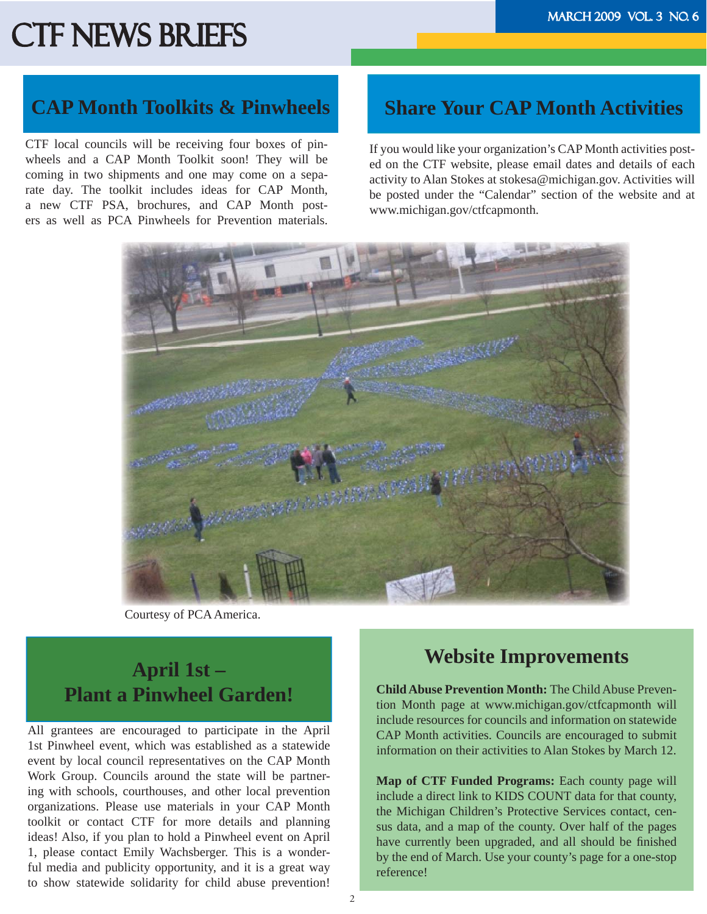#### **CAP Month Toolkits & Pinwheels**

CTF local councils will be receiving four boxes of pinwheels and a CAP Month Toolkit soon! They will be coming in two shipments and one may come on a separate day. The toolkit includes ideas for CAP Month, a new CTF PSA, brochures, and CAP Month posters as well as PCA Pinwheels for Prevention materials.

#### **Share Your CAP Month Activities**

If you would like your organization's CAP Month activities posted on the CTF website, please email dates and details of each activity to Alan Stokes at stokesa@michigan.gov. Activities will be posted under the "Calendar" section of the website and at www.michigan.gov/ctfcapmonth.



Courtesy of PCA America.

### **April 1st – Plant a Pinwheel Garden!**

All grantees are encouraged to participate in the April 1st Pinwheel event, which was established as a statewide event by local council representatives on the CAP Month Work Group. Councils around the state will be partnering with schools, courthouses, and other local prevention organizations. Please use materials in your CAP Month toolkit or contact CTF for more details and planning ideas! Also, if you plan to hold a Pinwheel event on April 1, please contact Emily Wachsberger. This is a wonderful media and publicity opportunity, and it is a great way to show statewide solidarity for child abuse prevention!

#### **Website Improvements**

**Child Abuse Prevention Month:** The Child Abuse Prevention Month page at www.michigan.gov/ctfcapmonth will include resources for councils and information on statewide CAP Month activities. Councils are encouraged to submit information on their activities to Alan Stokes by March 12.

**Map of CTF Funded Programs:** Each county page will include a direct link to KIDS COUNT data for that county, the Michigan Children's Protective Services contact, census data, and a map of the county. Over half of the pages have currently been upgraded, and all should be finished by the end of March. Use your county's page for a one-stop reference!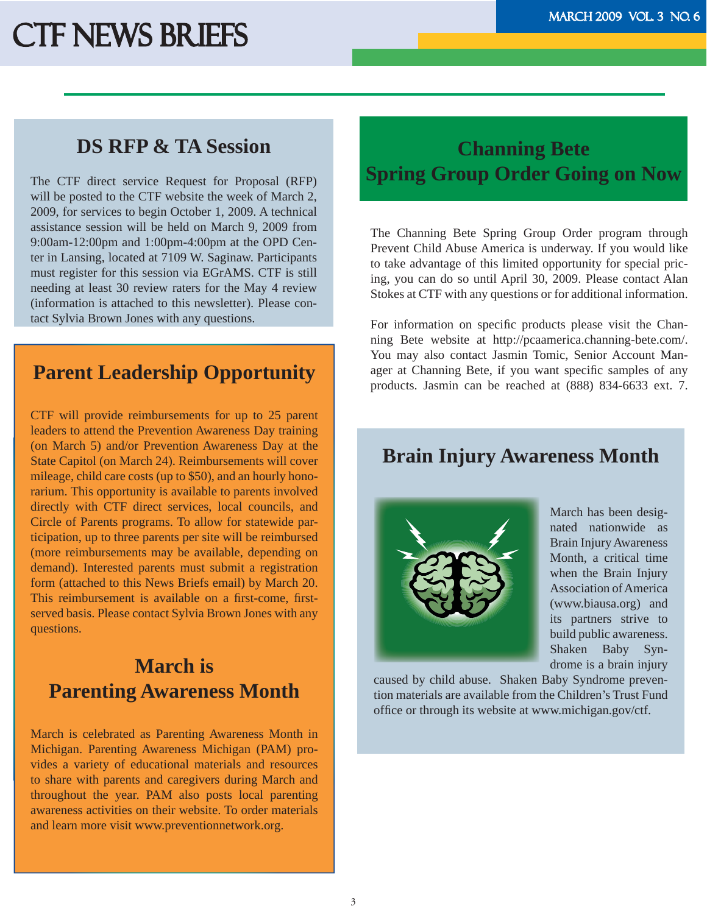#### **DS RFP & TA Session**

The CTF direct service Request for Proposal (RFP) will be posted to the CTF website the week of March 2, 2009, for services to begin October 1, 2009. A technical assistance session will be held on March 9, 2009 from 9:00am-12:00pm and 1:00pm-4:00pm at the OPD Center in Lansing, located at 7109 W. Saginaw. Participants must register for this session via EGrAMS. CTF is still needing at least 30 review raters for the May 4 review (information is attached to this newsletter). Please contact Sylvia Brown Jones with any questions.

#### **Parent Leadership Opportunity**

CTF will provide reimbursements for up to 25 parent leaders to attend the Prevention Awareness Day training (on March 5) and/or Prevention Awareness Day at the State Capitol (on March 24). Reimbursements will cover mileage, child care costs (up to \$50), and an hourly honorarium. This opportunity is available to parents involved directly with CTF direct services, local councils, and Circle of Parents programs. To allow for statewide participation, up to three parents per site will be reimbursed (more reimbursements may be available, depending on demand). Interested parents must submit a registration form (attached to this News Briefs email) by March 20. This reimbursement is available on a first-come, firstserved basis. Please contact Sylvia Brown Jones with any questions.

### **March is Parenting Awareness Month**

March is celebrated as Parenting Awareness Month in Michigan. Parenting Awareness Michigan (PAM) provides a variety of educational materials and resources to share with parents and caregivers during March and throughout the year. PAM also posts local parenting awareness activities on their website. To order materials and learn more visit www.preventionnetwork.org.

### **Channing Bete Spring Group Order Going on Now**

The Channing Bete Spring Group Order program through Prevent Child Abuse America is underway. If you would like to take advantage of this limited opportunity for special pricing, you can do so until April 30, 2009. Please contact Alan Stokes at CTF with any questions or for additional information.

For information on specific products please visit the Channing Bete website at http://pcaamerica.channing-bete.com/. You may also contact Jasmin Tomic, Senior Account Manager at Channing Bete, if you want specific samples of any products. Jasmin can be reached at (888) 834-6633 ext. 7.

#### **Brain Injury Awareness Month**



March has been designated nationwide as Brain Injury Awareness Month, a critical time when the Brain Injury Association of America (www.biausa.org) and its partners strive to build public awareness. Shaken Baby Syndrome is a brain injury

caused by child abuse. Shaken Baby Syndrome prevention materials are available from the Children's Trust Fund office or through its website at www.michigan.gov/ctf.

l,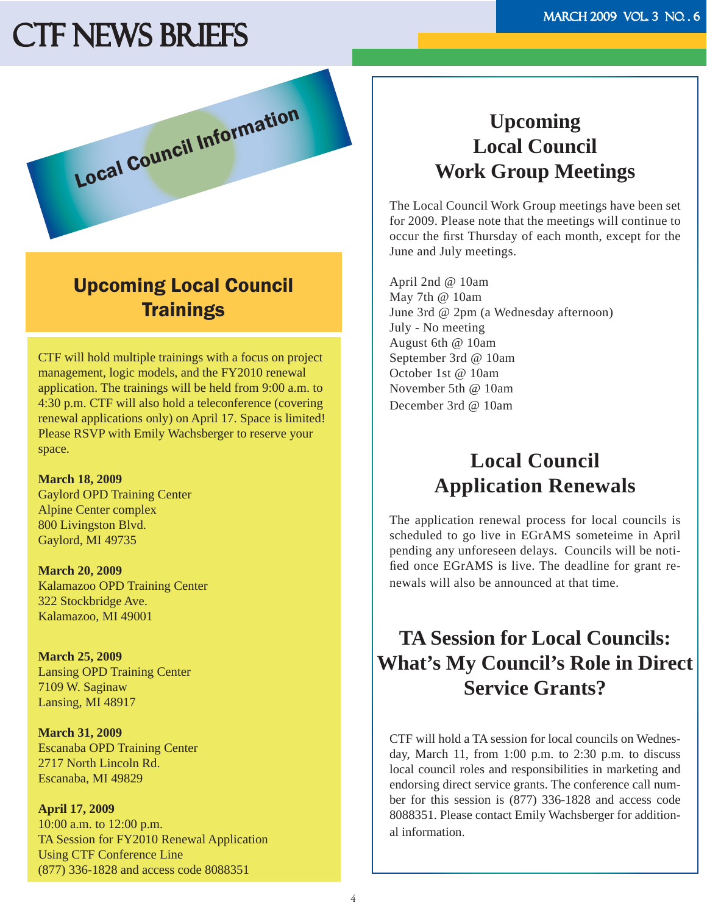

### Upcoming Local Council **Trainings**

CTF will hold multiple trainings with a focus on project management, logic models, and the FY2010 renewal application. The trainings will be held from 9:00 a.m. to 4:30 p.m. CTF will also hold a teleconference (covering renewal applications only) on April 17. Space is limited! Please RSVP with Emily Wachsberger to reserve your space.

**March 18, 2009** Gaylord OPD Training Center Alpine Center complex 800 Livingston Blvd. Gaylord, MI 49735

**March 20, 2009** Kalamazoo OPD Training Center 322 Stockbridge Ave. Kalamazoo, MI 49001

**March 25, 2009** Lansing OPD Training Center 7109 W. Saginaw Lansing, MI 48917

**March 31, 2009** Escanaba OPD Training Center 2717 North Lincoln Rd. Escanaba, MI 49829

**April 17, 2009** 10:00 a.m. to 12:00 p.m. TA Session for FY2010 Renewal Application Using CTF Conference Line (877) 336-1828 and access code 8088351

### **Upcoming Local Council Work Group Meetings**

The Local Council Work Group meetings have been set for 2009. Please note that the meetings will continue to occur the first Thursday of each month, except for the June and July meetings.

April 2nd @ 10am May 7th @ 10am June 3rd @ 2pm (a Wednesday afternoon) July - No meeting August 6th @ 10am September 3rd @ 10am October 1st @ 10am November 5th @ 10am December 3rd @ 10am

### **Local Council Application Renewals**

The application renewal process for local councils is scheduled to go live in EGrAMS someteime in April pending any unforeseen delays. Councils will be notified once EGrAMS is live. The deadline for grant renewals will also be announced at that time.

## **TA Session for Local Councils: What's My Council's Role in Direct Service Grants?**

CTF will hold a TA session for local councils on Wednesday, March 11, from 1:00 p.m. to 2:30 p.m. to discuss local council roles and responsibilities in marketing and endorsing direct service grants. The conference call number for this session is (877) 336-1828 and access code 8088351. Please contact Emily Wachsberger for additional information.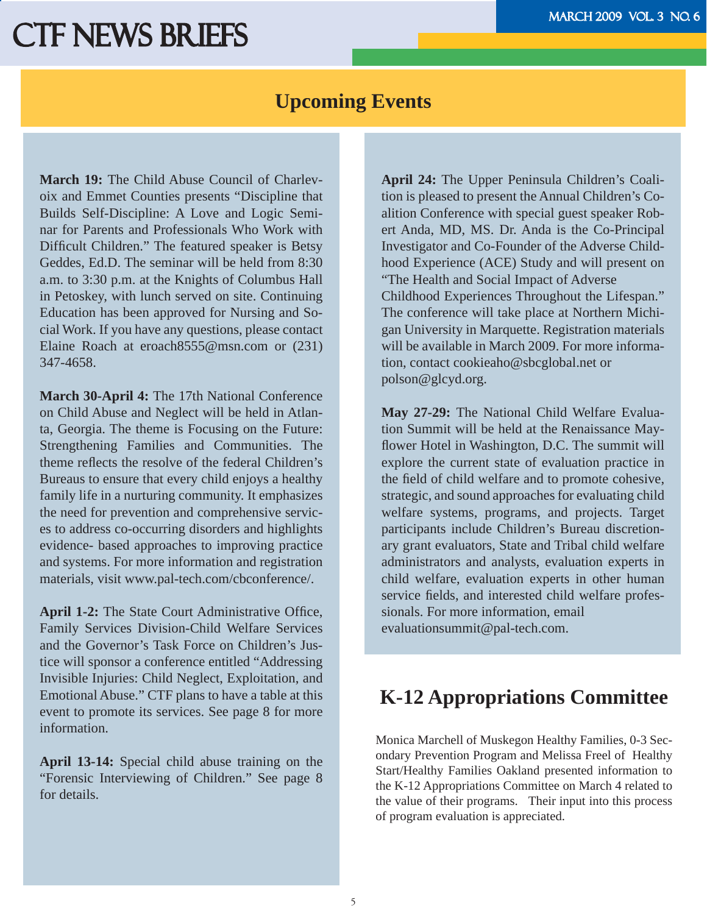#### **Upcoming Events**

**March 19:** The Child Abuse Council of Charlevoix and Emmet Counties presents "Discipline that Builds Self-Discipline: A Love and Logic Seminar for Parents and Professionals Who Work with Difficult Children." The featured speaker is Betsy Geddes, Ed.D. The seminar will be held from 8:30 a.m. to 3:30 p.m. at the Knights of Columbus Hall in Petoskey, with lunch served on site. Continuing Education has been approved for Nursing and Social Work. If you have any questions, please contact Elaine Roach at eroach8555@msn.com or (231) 347-4658.

**March 30-April 4:** The 17th National Conference on Child Abuse and Neglect will be held in Atlanta, Georgia. The theme is Focusing on the Future: Strengthening Families and Communities. The theme reflects the resolve of the federal Children's Bureaus to ensure that every child enjoys a healthy family life in a nurturing community. It emphasizes the need for prevention and comprehensive services to address co-occurring disorders and highlights evidence- based approaches to improving practice and systems. For more information and registration materials, visit www.pal-tech.com/cbconference/.

**April 1-2:** The State Court Administrative Office, Family Services Division-Child Welfare Services and the Governor's Task Force on Children's Justice will sponsor a conference entitled "Addressing Invisible Injuries: Child Neglect, Exploitation, and Emotional Abuse." CTF plans to have a table at this event to promote its services. See page 8 for more information.

**April 13-14:** Special child abuse training on the "Forensic Interviewing of Children." See page 8 for details.

**April 24:** The Upper Peninsula Children's Coalition is pleased to present the Annual Children's Coalition Conference with special guest speaker Robert Anda, MD, MS. Dr. Anda is the Co-Principal Investigator and Co-Founder of the Adverse Childhood Experience (ACE) Study and will present on "The Health and Social Impact of Adverse Childhood Experiences Throughout the Lifespan." The conference will take place at Northern Michigan University in Marquette. Registration materials will be available in March 2009. For more information, contact cookieaho@sbcglobal.net or polson@glcyd.org.

**May 27-29:** The National Child Welfare Evaluation Summit will be held at the Renaissance Mayflower Hotel in Washington, D.C. The summit will explore the current state of evaluation practice in the field of child welfare and to promote cohesive, strategic, and sound approaches for evaluating child welfare systems, programs, and projects. Target participants include Children's Bureau discretionary grant evaluators, State and Tribal child welfare administrators and analysts, evaluation experts in child welfare, evaluation experts in other human service fields, and interested child welfare professionals. For more information, email evaluationsummit@pal-tech.com.

### **K-12 Appropriations Committee**

Monica Marchell of Muskegon Healthy Families, 0-3 Secondary Prevention Program and Melissa Freel of Healthy Start/Healthy Families Oakland presented information to the K-12 Appropriations Committee on March 4 related to the value of their programs. Their input into this process of program evaluation is appreciated.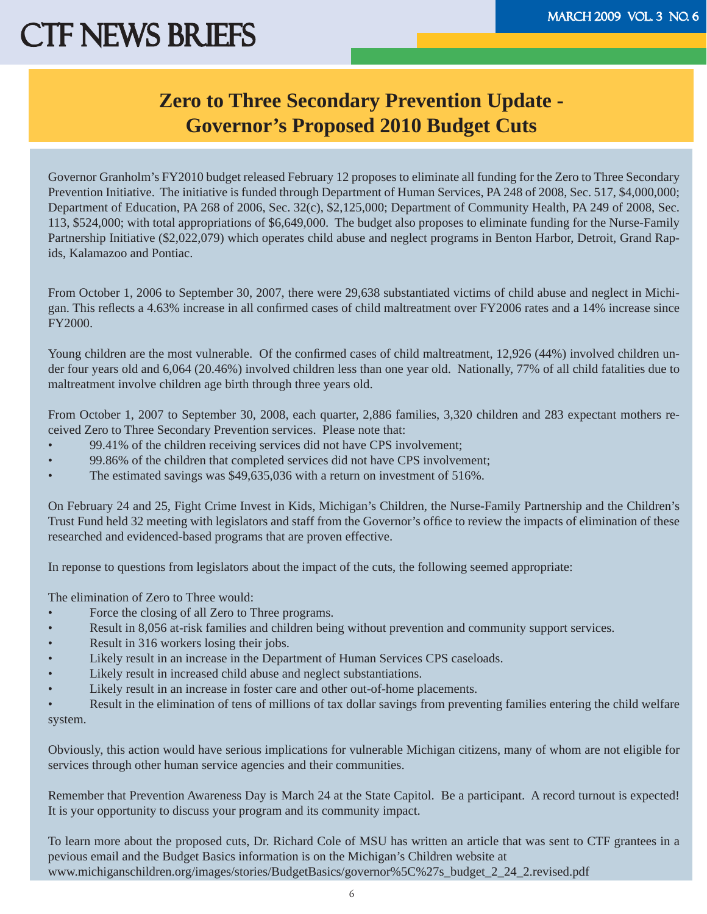### **Zero to Three Secondary Prevention Update - Governor's Proposed 2010 Budget Cuts**

Governor Granholm's FY2010 budget released February 12 proposes to eliminate all funding for the Zero to Three Secondary Prevention Initiative. The initiative is funded through Department of Human Services, PA 248 of 2008, Sec. 517, \$4,000,000; Department of Education, PA 268 of 2006, Sec. 32(c), \$2,125,000; Department of Community Health, PA 249 of 2008, Sec. 113, \$524,000; with total appropriations of \$6,649,000. The budget also proposes to eliminate funding for the Nurse-Family Partnership Initiative (\$2,022,079) which operates child abuse and neglect programs in Benton Harbor, Detroit, Grand Rapids, Kalamazoo and Pontiac.

From October 1, 2006 to September 30, 2007, there were 29,638 substantiated victims of child abuse and neglect in Michigan. This reflects a 4.63% increase in all confirmed cases of child maltreatment over FY2006 rates and a 14% increase since FY2000.

Young children are the most vulnerable. Of the confirmed cases of child maltreatment, 12,926 (44%) involved children under four years old and 6,064 (20.46%) involved children less than one year old. Nationally, 77% of all child fatalities due to maltreatment involve children age birth through three years old.

From October 1, 2007 to September 30, 2008, each quarter, 2,886 families, 3,320 children and 283 expectant mothers received Zero to Three Secondary Prevention services. Please note that:

- 99.41% of the children receiving services did not have CPS involvement;
- 99.86% of the children that completed services did not have CPS involvement;
- The estimated savings was \$49,635,036 with a return on investment of 516%.

On February 24 and 25, Fight Crime Invest in Kids, Michigan's Children, the Nurse-Family Partnership and the Children's Trust Fund held 32 meeting with legislators and staff from the Governor's office to review the impacts of elimination of these researched and evidenced-based programs that are proven effective.

In reponse to questions from legislators about the impact of the cuts, the following seemed appropriate:

The elimination of Zero to Three would:

- Force the closing of all Zero to Three programs.
- Result in 8,056 at-risk families and children being without prevention and community support services.
- Result in 316 workers losing their jobs.
- Likely result in an increase in the Department of Human Services CPS caseloads.
- Likely result in increased child abuse and neglect substantiations.
- Likely result in an increase in foster care and other out-of-home placements.

• Result in the elimination of tens of millions of tax dollar savings from preventing families entering the child welfare system.

Obviously, this action would have serious implications for vulnerable Michigan citizens, many of whom are not eligible for services through other human service agencies and their communities.

Remember that Prevention Awareness Day is March 24 at the State Capitol. Be a participant. A record turnout is expected! It is your opportunity to discuss your program and its community impact.

To learn more about the proposed cuts, Dr. Richard Cole of MSU has written an article that was sent to CTF grantees in a pevious email and the Budget Basics information is on the Michigan's Children website at www.michiganschildren.org/images/stories/BudgetBasics/governor%5C%27s\_budget\_2\_24\_2.revised.pdf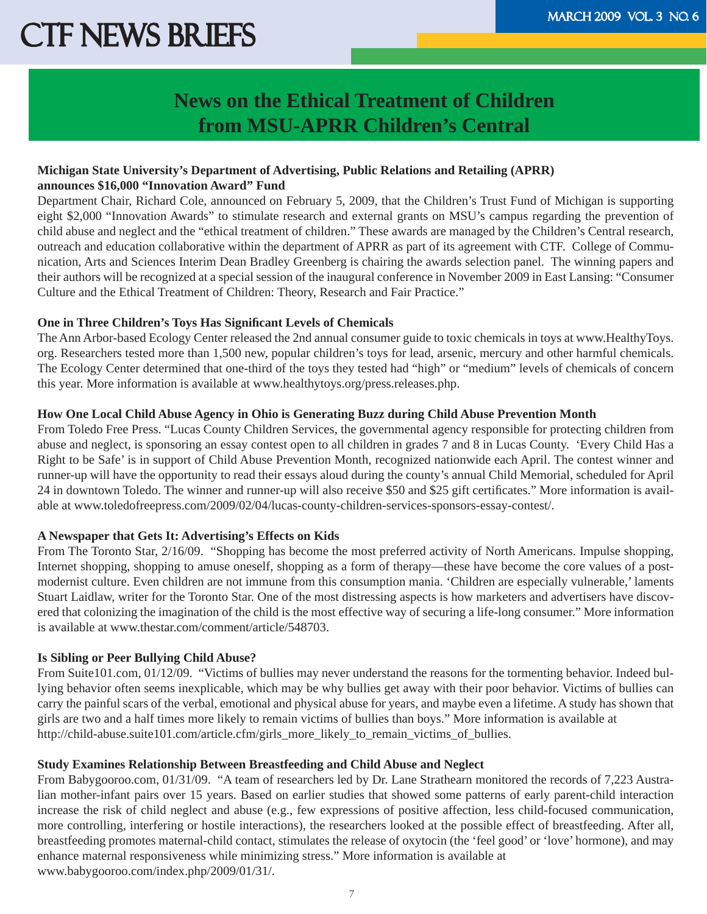### **News on the Ethical Treatment of Children from MSU-APRR Children's Central**

#### **Michigan State University's Department of Advertising, Public Relations and Retailing (APRR) announces \$16,000 "Innovation Award" Fund**

Department Chair, Richard Cole, announced on February 5, 2009, that the Children's Trust Fund of Michigan is supporting eight \$2,000 "Innovation Awards" to stimulate research and external grants on MSU's campus regarding the prevention of child abuse and neglect and the "ethical treatment of children." These awards are managed by the Children's Central research, outreach and education collaborative within the department of APRR as part of its agreement with CTF. College of Communication, Arts and Sciences Interim Dean Bradley Greenberg is chairing the awards selection panel. The winning papers and their authors will be recognized at a special session of the inaugural conference in November 2009 in East Lansing: "Consumer Culture and the Ethical Treatment of Children: Theory, Research and Fair Practice."

#### **One in Three Children's Toys Has Significant Levels of Chemicals**

The Ann Arbor-based Ecology Center released the 2nd annual consumer guide to toxic chemicals in toys at www.HealthyToys. org. Researchers tested more than 1,500 new, popular children's toys for lead, arsenic, mercury and other harmful chemicals. The Ecology Center determined that one-third of the toys they tested had "high" or "medium" levels of chemicals of concern this year. More information is available at www.healthytoys.org/press.releases.php.

#### **How One Local Child Abuse Agency in Ohio is Generating Buzz during Child Abuse Prevention Month**

From Toledo Free Press. "Lucas County Children Services, the governmental agency responsible for protecting children from abuse and neglect, is sponsoring an essay contest open to all children in grades 7 and 8 in Lucas County. 'Every Child Has a Right to be Safe' is in support of Child Abuse Prevention Month, recognized nationwide each April. The contest winner and runner-up will have the opportunity to read their essays aloud during the county's annual Child Memorial, scheduled for April 24 in downtown Toledo. The winner and runner-up will also receive \$50 and \$25 gift certificates." More information is available at www.toledofreepress.com/2009/02/04/lucas-county-children-services-sponsors-essay-contest/.

#### **A Newspaper that Gets It: Advertising's Effects on Kids**

From The Toronto Star, 2/16/09. "Shopping has become the most preferred activity of North Americans. Impulse shopping, Internet shopping, shopping to amuse oneself, shopping as a form of therapy—these have become the core values of a postmodernist culture. Even children are not immune from this consumption mania. 'Children are especially vulnerable,' laments Stuart Laidlaw, writer for the Toronto Star. One of the most distressing aspects is how marketers and advertisers have discovered that colonizing the imagination of the child is the most effective way of securing a life-long consumer." More information is available at www.thestar.com/comment/article/548703.

#### **Is Sibling or Peer Bullying Child Abuse?**

From Suite101.com, 01/12/09. "Victims of bullies may never understand the reasons for the tormenting behavior. Indeed bullying behavior often seems inexplicable, which may be why bullies get away with their poor behavior. Victims of bullies can carry the painful scars of the verbal, emotional and physical abuse for years, and maybe even a lifetime. A study has shown that girls are two and a half times more likely to remain victims of bullies than boys." More information is available at http://child-abuse.suite101.com/article.cfm/girls\_more\_likely\_to\_remain\_victims\_of\_bullies.

#### **Study Examines Relationship Between Breastfeeding and Child Abuse and Neglect**

From Babygooroo.com, 01/31/09. "A team of researchers led by Dr. Lane Strathearn monitored the records of 7,223 Australian mother-infant pairs over 15 years. Based on earlier studies that showed some patterns of early parent-child interaction increase the risk of child neglect and abuse (e.g., few expressions of positive affection, less child-focused communication, more controlling, interfering or hostile interactions), the researchers looked at the possible effect of breastfeeding. After all, breastfeeding promotes maternal-child contact, stimulates the release of oxytocin (the 'feel good' or 'love' hormone), and may enhance maternal responsiveness while minimizing stress." More information is available at www.babygooroo.com/index.php/2009/01/31/.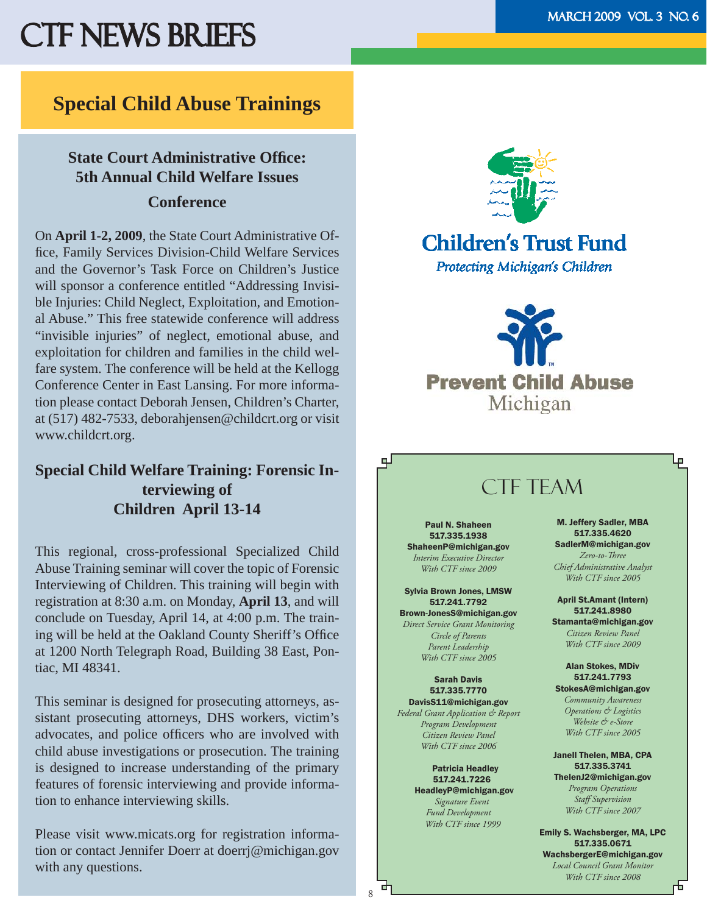#### **Special Child Abuse Trainings**

#### **State Court Administrative Office: 5th Annual Child Welfare Issues Conference**

On **April 1-2, 2009**, the State Court Administrative Office, Family Services Division-Child Welfare Services and the Governor's Task Force on Children's Justice will sponsor a conference entitled "Addressing Invisible Injuries: Child Neglect, Exploitation, and Emotional Abuse." This free statewide conference will address "invisible injuries" of neglect, emotional abuse, and exploitation for children and families in the child welfare system. The conference will be held at the Kellogg Conference Center in East Lansing. For more information please contact Deborah Jensen, Children's Charter, at (517) 482-7533, deborahjensen@childcrt.org or visit www.childcrt.org.

#### **Special Child Welfare Training: Forensic Interviewing of Children April 13-14**

This regional, cross-professional Specialized Child Abuse Training seminar will cover the topic of Forensic Interviewing of Children. This training will begin with registration at 8:30 a.m. on Monday, **April 13**, and will conclude on Tuesday, April 14, at 4:00 p.m. The training will be held at the Oakland County Sheriff's Office at 1200 North Telegraph Road, Building 38 East, Pontiac, MI 48341.

This seminar is designed for prosecuting attorneys, assistant prosecuting attorneys, DHS workers, victim's advocates, and police officers who are involved with child abuse investigations or prosecution. The training is designed to increase understanding of the primary features of forensic interviewing and provide information to enhance interviewing skills.

Please visit www.micats.org for registration information or contact Jennifer Doerr at doerrj@michigan.gov with any questions.



# **Children's Trust Fund**

Protecting Michigan's Children





### CTF TFAM

Paul N. Shaheen 517.335.1938 ShaheenP@michigan.gov *Interim Executive Director With CTF since 2009*

Sylvia Brown Jones, LMSW 517.241.7792 Brown-JonesS@michigan.gov *Direct Service Grant Monitoring Circle of Parents Parent Leadership With CTF since 2005*

Sarah Davis 517.335.7770 DavisS11@michigan.gov

*Federal Grant Application & Report Program Development Citizen Review Panel With CTF since 2006*

> Patricia Headley 517.241.7226 HeadleyP@michigan.gov  *Signature Event Fund Development With CTF since 1999*

8

由

M. Jeffery Sadler, MBA 517.335.4620 SadlerM@michigan.gov *Zero-to-Th ree Chief Administrative Analyst With CTF since 2005*

April St.Amant (Intern) 517.241.8980 Stamanta@michigan.gov

*Citizen Review Panel With CTF since 2009*

Alan Stokes, MDiv 517.241.7793 StokesA@michigan.gov

*Community Awareness Operations & Logistics Website & e-Store With CTF since 2005*

Janell Thelen, MBA, CPA 517.335.3741 ThelenJ2@michigan.gov *Program Operations Staff Supervision With CTF since 2007*

Emily S. Wachsberger, MA, LPC 517.335.0671 WachsbergerE@michigan.gov

*Local Council Grant Monitor With CTF since 2008*

صا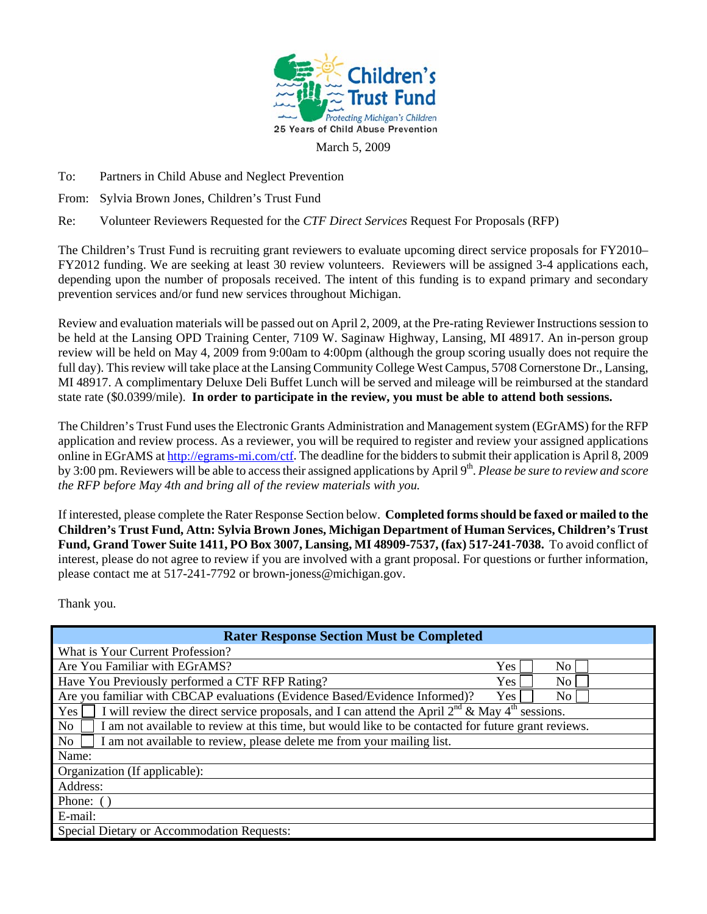

March 5, 2009

To: Partners in Child Abuse and Neglect Prevention

From: Sylvia Brown Jones, Children's Trust Fund

Re: Volunteer Reviewers Requested for the *CTF Direct Services* Request For Proposals (RFP)

The Children's Trust Fund is recruiting grant reviewers to evaluate upcoming direct service proposals for FY2010– FY2012 funding. We are seeking at least 30 review volunteers. Reviewers will be assigned 3-4 applications each, depending upon the number of proposals received. The intent of this funding is to expand primary and secondary prevention services and/or fund new services throughout Michigan.

Review and evaluation materials will be passed out on April 2, 2009, at the Pre-rating Reviewer Instructions session to be held at the Lansing OPD Training Center, 7109 W. Saginaw Highway, Lansing, MI 48917. An in-person group review will be held on May 4, 2009 from 9:00am to 4:00pm (although the group scoring usually does not require the full day). This review will take place at the Lansing Community College West Campus, 5708 Cornerstone Dr., Lansing, MI 48917. A complimentary Deluxe Deli Buffet Lunch will be served and mileage will be reimbursed at the standard state rate (\$0.0399/mile). **In order to participate in the review, you must be able to attend both sessions.**

The Children's Trust Fund uses the Electronic Grants Administration and Management system (EGrAMS) for the RFP application and review process. As a reviewer, you will be required to register and review your assigned applications online in EGrAMS at http://egrams-mi.com/ctf. The deadline for the bidders to submit their application is April 8, 2009 by 3:00 pm. Reviewers will be able to access their assigned applications by April 9<sup>th</sup>. *Please be sure to review and score the RFP before May 4th and bring all of the review materials with you.* 

If interested, please complete the Rater Response Section below. **Completed forms should be faxed or mailed to the Children's Trust Fund, Attn: Sylvia Brown Jones, Michigan Department of Human Services, Children's Trust Fund, Grand Tower Suite 1411, PO Box 3007, Lansing, MI 48909-7537, (fax) 517-241-7038.** To avoid conflict of interest, please do not agree to review if you are involved with a grant proposal. For questions or further information, please contact me at 517-241-7792 or brown-joness@michigan.gov.

Thank you.

| <b>Rater Response Section Must be Completed</b>                                                                       |  |  |
|-----------------------------------------------------------------------------------------------------------------------|--|--|
| What is Your Current Profession?                                                                                      |  |  |
| Are You Familiar with EGrAMS?<br>Yes<br>No                                                                            |  |  |
| Have You Previously performed a CTF RFP Rating?<br><b>Yes</b><br>No.                                                  |  |  |
| Are you familiar with CBCAP evaluations (Evidence Based/Evidence Informed)?<br>No<br><b>Yes</b>                       |  |  |
| I will review the direct service proposals, and I can attend the April $2^{nd}$ & May $4^{th}$ sessions.<br>Yes       |  |  |
| I am not available to review at this time, but would like to be contacted for future grant reviews.<br>N <sub>o</sub> |  |  |
| N <sub>o</sub><br>I am not available to review, please delete me from your mailing list.                              |  |  |
| Name:                                                                                                                 |  |  |
| Organization (If applicable):                                                                                         |  |  |
| Address:                                                                                                              |  |  |
| Phone: ()                                                                                                             |  |  |
| E-mail:                                                                                                               |  |  |
| <b>Special Dietary or Accommodation Requests:</b>                                                                     |  |  |